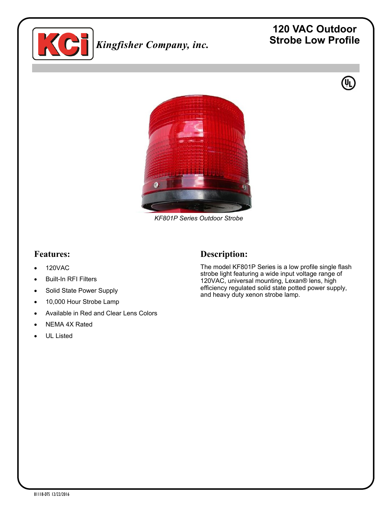

# *Kingfisher Company, inc.*

# **120 VAC Outdoor Strobe Low Profile**

 $\mathbf{\Psi}$ 



*KF801P Series Outdoor Strobe*

#### **Features:**

- 120VAC
- Built-In RFI Filters
- Solid State Power Supply
- 10,000 Hour Strobe Lamp
- Available in Red and Clear Lens Colors
- NEMA 4X Rated
- UL Listed

#### **Description:**

The model KF801P Series is a low profile single flash strobe light featuring a wide input voltage range of 120VAC, universal mounting, Lexan® lens, high efficiency regulated solid state potted power supply, and heavy duty xenon strobe lamp.